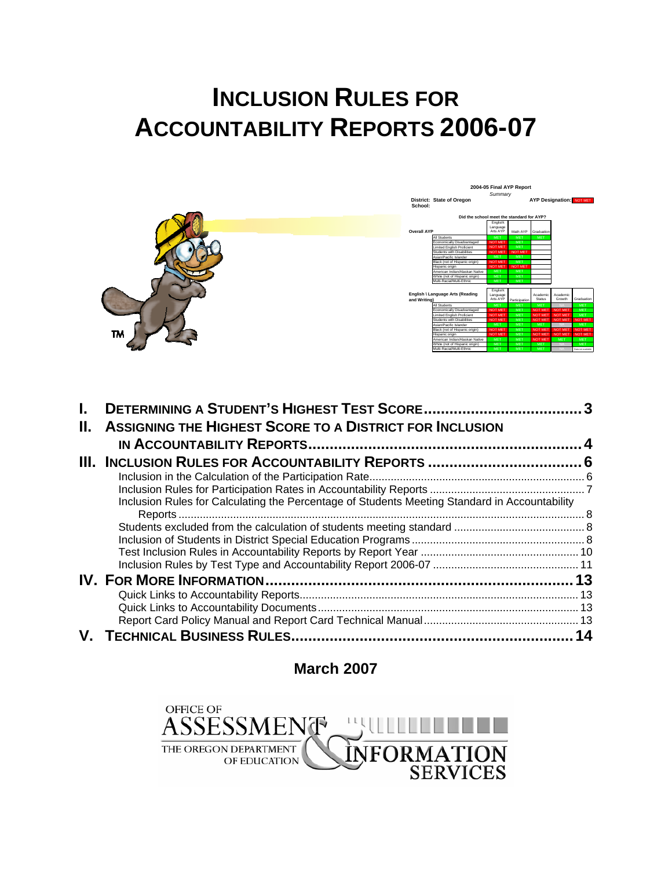# **INCLUSION RULES FOR ACCOUNTABILITY REPORTS 2006-07**



| Н. | <b>ASSIGNING THE HIGHEST SCORE TO A DISTRICT FOR INCLUSION</b>                                |  |
|----|-----------------------------------------------------------------------------------------------|--|
|    |                                                                                               |  |
|    |                                                                                               |  |
|    |                                                                                               |  |
|    | Inclusion Rules for Calculating the Percentage of Students Meeting Standard in Accountability |  |
|    |                                                                                               |  |
|    |                                                                                               |  |
|    |                                                                                               |  |
|    |                                                                                               |  |
|    |                                                                                               |  |
|    |                                                                                               |  |
|    |                                                                                               |  |
|    |                                                                                               |  |
|    |                                                                                               |  |
|    | <b>V. TECHNICAL BUSINESS RULES</b>                                                            |  |

**March 2007** 

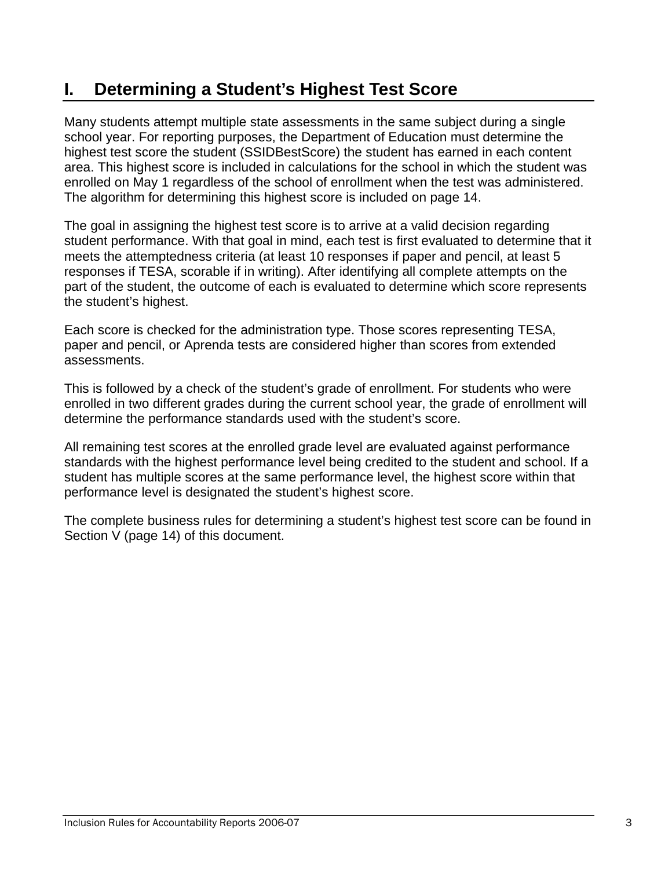# **I. Determining a Student's Highest Test Score**

Many students attempt multiple state assessments in the same subject during a single school year. For reporting purposes, the Department of Education must determine the highest test score the student (SSIDBestScore) the student has earned in each content area. This highest score is included in calculations for the school in which the student was enrolled on May 1 regardless of the school of enrollment when the test was administered. The algorithm for determining this highest score is included on page 14.

The goal in assigning the highest test score is to arrive at a valid decision regarding student performance. With that goal in mind, each test is first evaluated to determine that it meets the attemptedness criteria (at least 10 responses if paper and pencil, at least 5 responses if TESA, scorable if in writing). After identifying all complete attempts on the part of the student, the outcome of each is evaluated to determine which score represents the student's highest.

Each score is checked for the administration type. Those scores representing TESA, paper and pencil, or Aprenda tests are considered higher than scores from extended assessments.

This is followed by a check of the student's grade of enrollment. For students who were enrolled in two different grades during the current school year, the grade of enrollment will determine the performance standards used with the student's score.

All remaining test scores at the enrolled grade level are evaluated against performance standards with the highest performance level being credited to the student and school. If a student has multiple scores at the same performance level, the highest score within that performance level is designated the student's highest score.

The complete business rules for determining a student's highest test score can be found in Section V (page 14) of this document.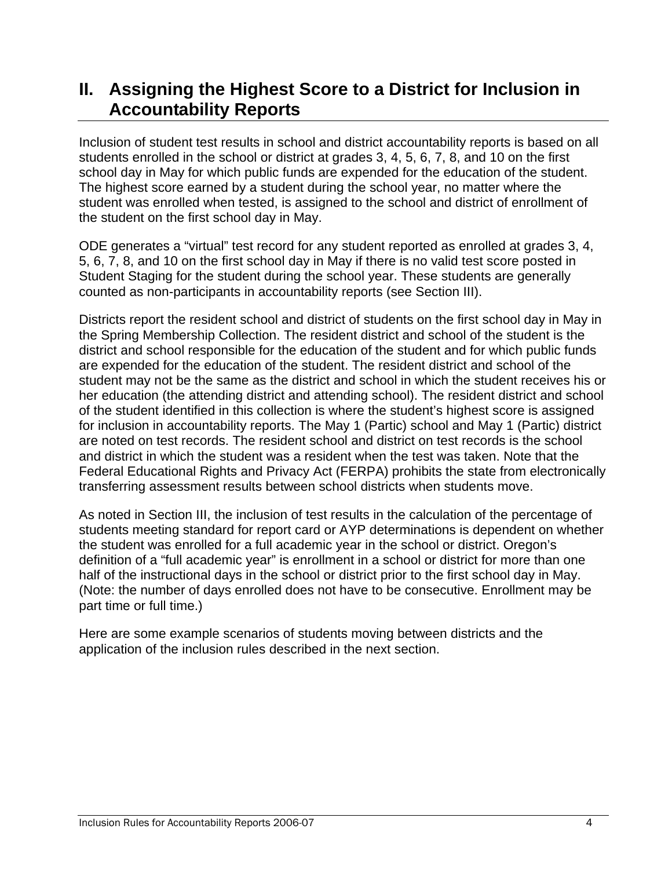# **II. Assigning the Highest Score to a District for Inclusion in Accountability Reports**

Inclusion of student test results in school and district accountability reports is based on all students enrolled in the school or district at grades 3, 4, 5, 6, 7, 8, and 10 on the first school day in May for which public funds are expended for the education of the student. The highest score earned by a student during the school year, no matter where the student was enrolled when tested, is assigned to the school and district of enrollment of the student on the first school day in May.

ODE generates a "virtual" test record for any student reported as enrolled at grades 3, 4, 5, 6, 7, 8, and 10 on the first school day in May if there is no valid test score posted in Student Staging for the student during the school year. These students are generally counted as non-participants in accountability reports (see Section III).

Districts report the resident school and district of students on the first school day in May in the Spring Membership Collection. The resident district and school of the student is the district and school responsible for the education of the student and for which public funds are expended for the education of the student. The resident district and school of the student may not be the same as the district and school in which the student receives his or her education (the attending district and attending school). The resident district and school of the student identified in this collection is where the student's highest score is assigned for inclusion in accountability reports. The May 1 (Partic) school and May 1 (Partic) district are noted on test records. The resident school and district on test records is the school and district in which the student was a resident when the test was taken. Note that the Federal Educational Rights and Privacy Act (FERPA) prohibits the state from electronically transferring assessment results between school districts when students move.

As noted in Section III, the inclusion of test results in the calculation of the percentage of students meeting standard for report card or AYP determinations is dependent on whether the student was enrolled for a full academic year in the school or district. Oregon's definition of a "full academic year" is enrollment in a school or district for more than one half of the instructional days in the school or district prior to the first school day in May. (Note: the number of days enrolled does not have to be consecutive. Enrollment may be part time or full time.)

Here are some example scenarios of students moving between districts and the application of the inclusion rules described in the next section.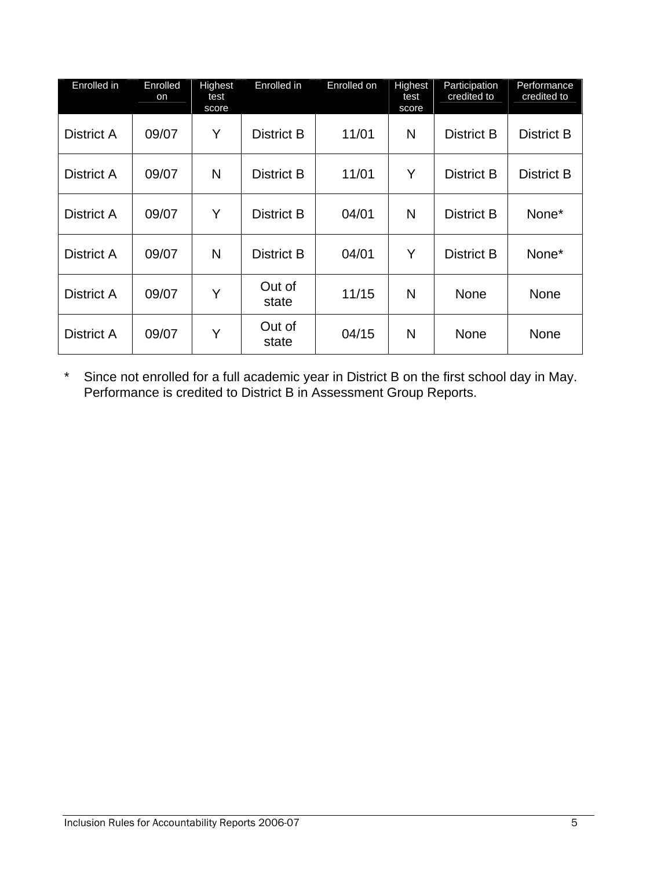| Enrolled in       | Enrolled<br>on | Highest<br>test<br>score | Enrolled in       | Enrolled on | Highest<br>test<br>score | Participation<br>credited to | Performance<br>credited to |
|-------------------|----------------|--------------------------|-------------------|-------------|--------------------------|------------------------------|----------------------------|
| <b>District A</b> | 09/07          | Y                        | <b>District B</b> | 11/01       | N                        | <b>District B</b>            | <b>District B</b>          |
| <b>District A</b> | 09/07          | N                        | <b>District B</b> | 11/01       | Y                        | <b>District B</b>            | <b>District B</b>          |
| <b>District A</b> | 09/07          | Y                        | <b>District B</b> | 04/01       | N                        | <b>District B</b>            | None*                      |
| <b>District A</b> | 09/07          | N                        | <b>District B</b> | 04/01       | Y                        | <b>District B</b>            | None*                      |
| District A        | 09/07          | Y                        | Out of<br>state   | 11/15       | N                        | <b>None</b>                  | None                       |
| <b>District A</b> | 09/07          | Y                        | Out of<br>state   | 04/15       | N                        | None                         | None                       |

\* Since not enrolled for a full academic year in District B on the first school day in May. Performance is credited to District B in Assessment Group Reports.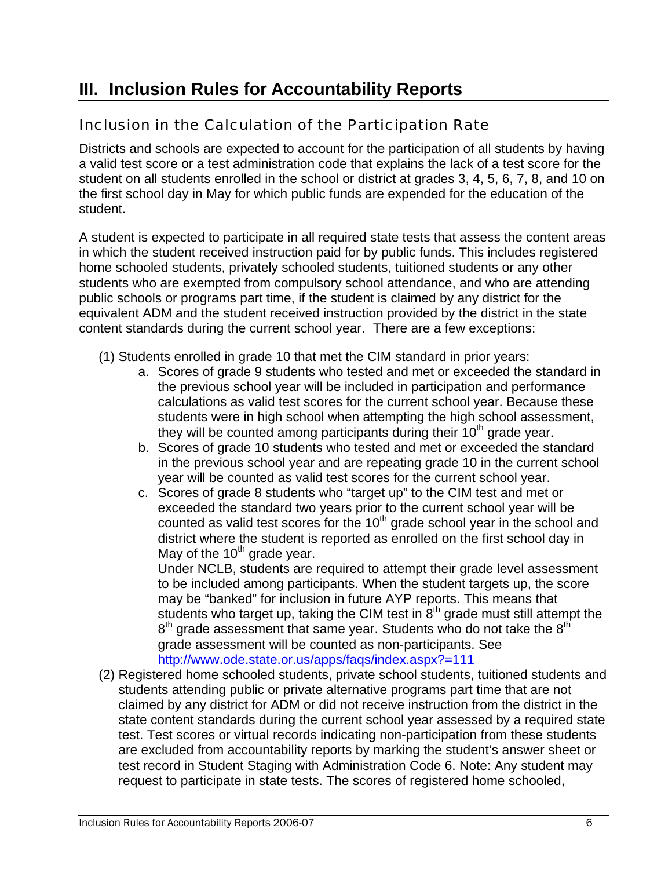# **III. Inclusion Rules for Accountability Reports**

### Inclusion in the Calculation of the Participation Rate

Districts and schools are expected to account for the participation of all students by having a valid test score or a test administration code that explains the lack of a test score for the student on all students enrolled in the school or district at grades 3, 4, 5, 6, 7, 8, and 10 on the first school day in May for which public funds are expended for the education of the student.

A student is expected to participate in all required state tests that assess the content areas in which the student received instruction paid for by public funds. This includes registered home schooled students, privately schooled students, tuitioned students or any other students who are exempted from compulsory school attendance, and who are attending public schools or programs part time, if the student is claimed by any district for the equivalent ADM and the student received instruction provided by the district in the state content standards during the current school year. There are a few exceptions:

- (1) Students enrolled in grade 10 that met the CIM standard in prior years:
	- a. Scores of grade 9 students who tested and met or exceeded the standard in the previous school year will be included in participation and performance calculations as valid test scores for the current school year. Because these students were in high school when attempting the high school assessment, they will be counted among participants during their  $10<sup>th</sup>$  grade year.
	- b. Scores of grade 10 students who tested and met or exceeded the standard in the previous school year and are repeating grade 10 in the current school year will be counted as valid test scores for the current school year.
	- c. Scores of grade 8 students who "target up" to the CIM test and met or exceeded the standard two years prior to the current school year will be counted as valid test scores for the  $10<sup>th</sup>$  grade school year in the school and district where the student is reported as enrolled on the first school day in May of the  $10^{th}$  grade year.

Under NCLB, students are required to attempt their grade level assessment to be included among participants. When the student targets up, the score may be "banked" for inclusion in future AYP reports. This means that students who target up, taking the CIM test in 8<sup>th</sup> grade must still attempt the  $8<sup>th</sup>$  grade assessment that same year. Students who do not take the  $8<sup>th</sup>$ grade assessment will be counted as non-participants. See http://www.ode.state.or.us/apps/faqs/index.aspx?=111

(2) Registered home schooled students, private school students, tuitioned students and students attending public or private alternative programs part time that are not claimed by any district for ADM or did not receive instruction from the district in the state content standards during the current school year assessed by a required state test. Test scores or virtual records indicating non-participation from these students are excluded from accountability reports by marking the student's answer sheet or test record in Student Staging with Administration Code 6. Note: Any student may request to participate in state tests. The scores of registered home schooled,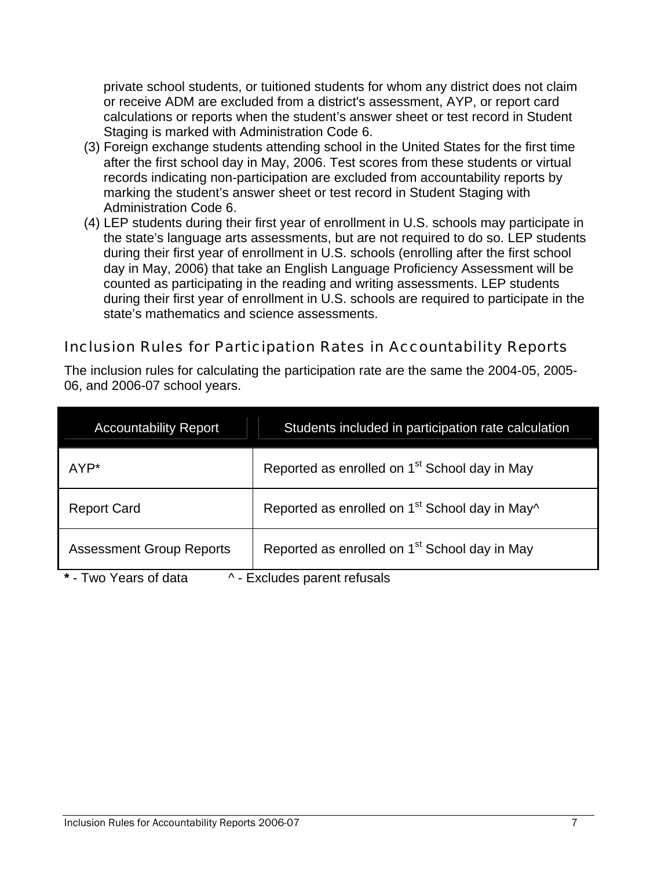private school students, or tuitioned students for whom any district does not claim or receive ADM are excluded from a district's assessment, AYP, or report card calculations or reports when the student's answer sheet or test record in Student Staging is marked with Administration Code 6.

- (3) Foreign exchange students attending school in the United States for the first time after the first school day in May, 2006. Test scores from these students or virtual records indicating non-participation are excluded from accountability reports by marking the student's answer sheet or test record in Student Staging with Administration Code 6.
- (4) LEP students during their first year of enrollment in U.S. schools may participate in the state's language arts assessments, but are not required to do so. LEP students during their first year of enrollment in U.S. schools (enrolling after the first school day in May, 2006) that take an English Language Proficiency Assessment will be counted as participating in the reading and writing assessments. LEP students during their first year of enrollment in U.S. schools are required to participate in the state's mathematics and science assessments.

#### Inclusion Rules for Participation Rates in Accountability Reports

The inclusion rules for calculating the participation rate are the same the 2004-05, 2005- 06, and 2006-07 school years.

| <b>Accountability Report</b>                                       | Students included in participation rate calculation        |  |  |  |
|--------------------------------------------------------------------|------------------------------------------------------------|--|--|--|
| AYP*                                                               | Reported as enrolled on 1 <sup>st</sup> School day in May  |  |  |  |
| <b>Report Card</b>                                                 | Reported as enrolled on 1 <sup>st</sup> School day in May^ |  |  |  |
| <b>Assessment Group Reports</b>                                    | Reported as enrolled on 1 <sup>st</sup> School day in May  |  |  |  |
| $*$ Tuin Voore of dota<br>Evoludos poront refugale<br>$\mathbf{A}$ |                                                            |  |  |  |

**\*** - Two Years of data ^ - Excludes parent refusals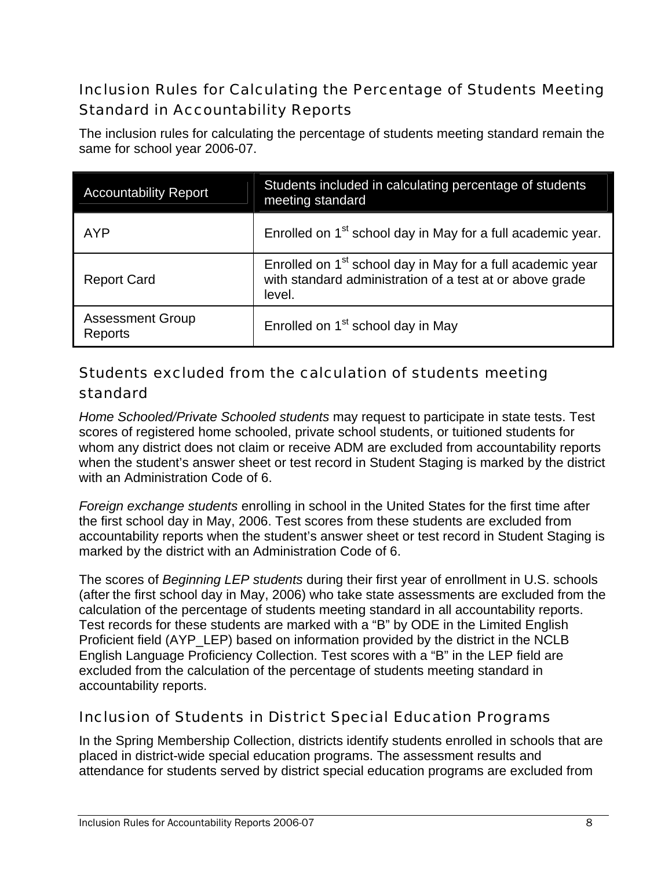## Inclusion Rules for Calculating the Percentage of Students Meeting Standard in Accountability Reports

The inclusion rules for calculating the percentage of students meeting standard remain the same for school year 2006-07.

| <b>Accountability Report</b>       | Students included in calculating percentage of students<br>meeting standard                                                                  |  |
|------------------------------------|----------------------------------------------------------------------------------------------------------------------------------------------|--|
| AYP                                | Enrolled on 1 <sup>st</sup> school day in May for a full academic year.                                                                      |  |
| <b>Report Card</b>                 | Enrolled on 1 <sup>st</sup> school day in May for a full academic year<br>with standard administration of a test at or above grade<br>level. |  |
| <b>Assessment Group</b><br>Reports | Enrolled on 1 <sup>st</sup> school day in May                                                                                                |  |

### Students excluded from the calculation of students meeting standard

*Home Schooled/Private Schooled students* may request to participate in state tests. Test scores of registered home schooled, private school students, or tuitioned students for whom any district does not claim or receive ADM are excluded from accountability reports when the student's answer sheet or test record in Student Staging is marked by the district with an Administration Code of 6.

*Foreign exchange students* enrolling in school in the United States for the first time after the first school day in May, 2006. Test scores from these students are excluded from accountability reports when the student's answer sheet or test record in Student Staging is marked by the district with an Administration Code of 6.

The scores of *Beginning LEP students* during their first year of enrollment in U.S. schools (after the first school day in May, 2006) who take state assessments are excluded from the calculation of the percentage of students meeting standard in all accountability reports. Test records for these students are marked with a "B" by ODE in the Limited English Proficient field (AYP\_LEP) based on information provided by the district in the NCLB English Language Proficiency Collection. Test scores with a "B" in the LEP field are excluded from the calculation of the percentage of students meeting standard in accountability reports.

### Inclusion of Students in District Special Education Programs

In the Spring Membership Collection, districts identify students enrolled in schools that are placed in district-wide special education programs. The assessment results and attendance for students served by district special education programs are excluded from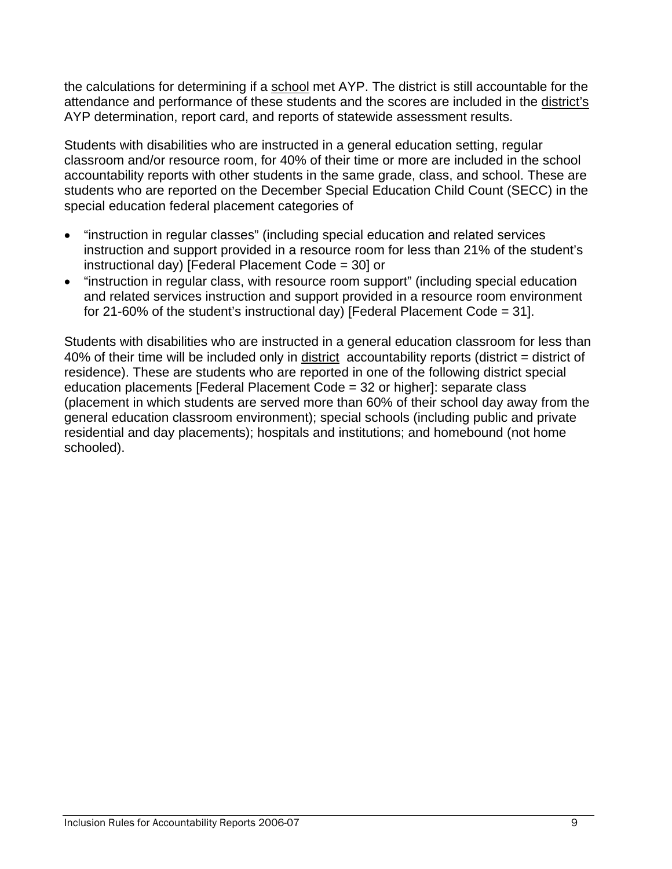the calculations for determining if a school met AYP. The district is still accountable for the attendance and performance of these students and the scores are included in the district's AYP determination, report card, and reports of statewide assessment results.

Students with disabilities who are instructed in a general education setting, regular classroom and/or resource room, for 40% of their time or more are included in the school accountability reports with other students in the same grade, class, and school. These are students who are reported on the December Special Education Child Count (SECC) in the special education federal placement categories of

- "instruction in regular classes" (including special education and related services instruction and support provided in a resource room for less than 21% of the student's instructional day) [Federal Placement Code = 30] or
- "instruction in regular class, with resource room support" (including special education and related services instruction and support provided in a resource room environment for 21-60% of the student's instructional day) [Federal Placement Code = 31].

Students with disabilities who are instructed in a general education classroom for less than 40% of their time will be included only in district accountability reports (district = district of residence). These are students who are reported in one of the following district special education placements [Federal Placement Code = 32 or higher]: separate class (placement in which students are served more than 60% of their school day away from the general education classroom environment); special schools (including public and private residential and day placements); hospitals and institutions; and homebound (not home schooled).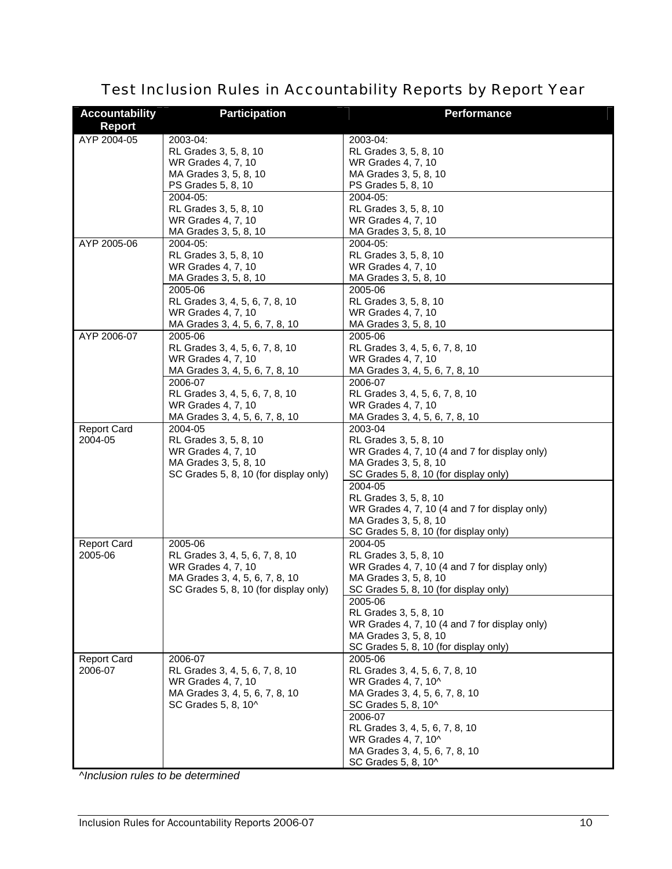| <b>Accountability</b><br><b>Report</b> | <b>Participation</b>                                                                                                                       | <b>Performance</b>                                                                                                                                  |
|----------------------------------------|--------------------------------------------------------------------------------------------------------------------------------------------|-----------------------------------------------------------------------------------------------------------------------------------------------------|
| AYP 2004-05                            | 2003-04:<br>RL Grades 3, 5, 8, 10<br>WR Grades 4, 7, 10<br>MA Grades 3, 5, 8, 10<br>PS Grades 5, 8, 10                                     | 2003-04:<br>RL Grades 3, 5, 8, 10<br>WR Grades 4, 7, 10<br>MA Grades 3, 5, 8, 10<br>PS Grades 5, 8, 10                                              |
|                                        | 2004-05:<br>RL Grades 3, 5, 8, 10<br>WR Grades 4, 7, 10<br>MA Grades 3, 5, 8, 10<br>2004-05:                                               | 2004-05:<br>RL Grades 3, 5, 8, 10<br>WR Grades 4, 7, 10<br>MA Grades 3, 5, 8, 10<br>2004-05:                                                        |
| AYP 2005-06                            | RL Grades 3, 5, 8, 10<br>WR Grades 4, 7, 10<br>MA Grades 3, 5, 8, 10<br>2005-06                                                            | RL Grades 3, 5, 8, 10<br>WR Grades 4, 7, 10<br>MA Grades 3, 5, 8, 10<br>2005-06                                                                     |
|                                        | RL Grades 3, 4, 5, 6, 7, 8, 10<br>WR Grades 4, 7, 10<br>MA Grades 3, 4, 5, 6, 7, 8, 10                                                     | RL Grades 3, 5, 8, 10<br>WR Grades 4, 7, 10<br>MA Grades 3, 5, 8, 10                                                                                |
| AYP 2006-07                            | 2005-06<br>RL Grades 3, 4, 5, 6, 7, 8, 10<br>WR Grades 4, 7, 10<br>MA Grades 3, 4, 5, 6, 7, 8, 10                                          | 2005-06<br>RL Grades 3, 4, 5, 6, 7, 8, 10<br>WR Grades 4, 7, 10<br>MA Grades 3, 4, 5, 6, 7, 8, 10                                                   |
|                                        | 2006-07<br>RL Grades 3, 4, 5, 6, 7, 8, 10<br>WR Grades 4, 7, 10<br>MA Grades 3, 4, 5, 6, 7, 8, 10                                          | 2006-07<br>RL Grades 3, 4, 5, 6, 7, 8, 10<br>WR Grades 4, 7, 10<br>MA Grades 3, 4, 5, 6, 7, 8, 10                                                   |
| <b>Report Card</b><br>2004-05          | 2004-05<br>RL Grades 3, 5, 8, 10<br>WR Grades 4, 7, 10<br>MA Grades 3, 5, 8, 10<br>SC Grades 5, 8, 10 (for display only)                   | 2003-04<br>RL Grades 3, 5, 8, 10<br>WR Grades 4, 7, 10 (4 and 7 for display only)<br>MA Grades 3, 5, 8, 10<br>SC Grades 5, 8, 10 (for display only) |
|                                        |                                                                                                                                            | 2004-05<br>RL Grades 3, 5, 8, 10<br>WR Grades 4, 7, 10 (4 and 7 for display only)<br>MA Grades 3, 5, 8, 10<br>SC Grades 5, 8, 10 (for display only) |
| <b>Report Card</b><br>2005-06          | 2005-06<br>RL Grades 3, 4, 5, 6, 7, 8, 10<br>WR Grades 4, 7, 10<br>MA Grades 3, 4, 5, 6, 7, 8, 10<br>SC Grades 5, 8, 10 (for display only) | 2004-05<br>RL Grades 3, 5, 8, 10<br>WR Grades 4, 7, 10 (4 and 7 for display only)<br>MA Grades 3, 5, 8, 10<br>SC Grades 5, 8, 10 (for display only) |
|                                        |                                                                                                                                            | 2005-06<br>RL Grades 3, 5, 8, 10<br>WR Grades 4, 7, 10 (4 and 7 for display only)<br>MA Grades 3, 5, 8, 10<br>SC Grades 5, 8, 10 (for display only) |
| <b>Report Card</b><br>2006-07          | 2006-07<br>RL Grades 3, 4, 5, 6, 7, 8, 10<br>WR Grades 4, 7, 10<br>MA Grades 3, 4, 5, 6, 7, 8, 10<br>SC Grades 5, 8, 10^                   | 2005-06<br>RL Grades 3, 4, 5, 6, 7, 8, 10<br>WR Grades 4, 7, 10^<br>MA Grades 3, 4, 5, 6, 7, 8, 10<br>SC Grades 5, 8, 10^                           |
|                                        |                                                                                                                                            | 2006-07<br>RL Grades 3, 4, 5, 6, 7, 8, 10<br>WR Grades 4, 7, 10^<br>MA Grades 3, 4, 5, 6, 7, 8, 10<br>SC Grades 5, 8, 10^                           |

# Test Inclusion Rules in Accountability Reports by Report Year

*^Inclusion rules to be determined*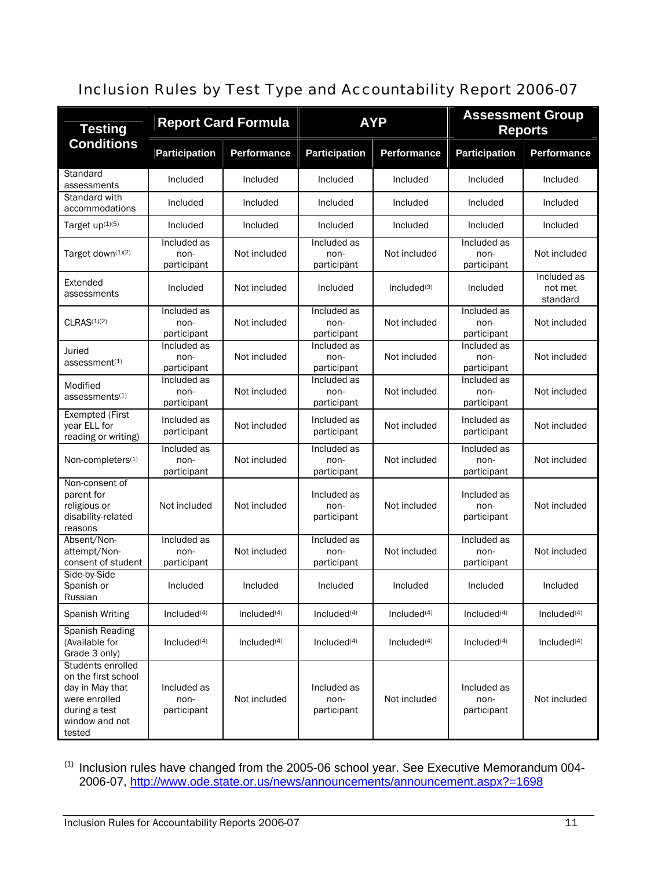### Inclusion Rules by Test Type and Accountability Report 2006-07

| <b>Testing</b>                                                                                                            | <b>Report Card Formula</b>         |                         | <b>AYP</b>                         |                         | <b>Assessment Group</b><br><b>Reports</b> |                                    |
|---------------------------------------------------------------------------------------------------------------------------|------------------------------------|-------------------------|------------------------------------|-------------------------|-------------------------------------------|------------------------------------|
| <b>Conditions</b>                                                                                                         | <b>Participation</b>               | Performance             | <b>Participation</b>               | Performance             | <b>Participation</b>                      | Performance                        |
| Standard<br>assessments                                                                                                   | Included                           | Included                | Included                           | Included                | Included                                  | Included                           |
| Standard with<br>accommodations                                                                                           | Included                           | Included                | Included                           | Included                | Included                                  | Included                           |
| Target up(1)(5)                                                                                                           | Included                           | Included                | Included                           | Included                | Included                                  | Included                           |
| Target down(1)(2)                                                                                                         | Included as<br>non-<br>participant | Not included            | Included as<br>non-<br>participant | Not included            | Included as<br>non-<br>participant        | Not included                       |
| Extended<br>assessments                                                                                                   | Included                           | Not included            | Included                           | Included(3)             | Included                                  | Included as<br>not met<br>standard |
| CLRAS <sup>(1)(2)</sup>                                                                                                   | Included as<br>non-<br>participant | Not included            | Included as<br>non-<br>participant | Not included            | Included as<br>non-<br>participant        | Not included                       |
| Juried<br>assessment <sup>(1)</sup>                                                                                       | Included as<br>non-<br>participant | Not included            | Included as<br>non-<br>participant | Not included            | Included as<br>non-<br>participant        | Not included                       |
| Modified<br>assessments <sup>(1)</sup>                                                                                    | Included as<br>non-<br>participant | Not included            | Included as<br>non-<br>participant | Not included            | Included as<br>non-<br>participant        | Not included                       |
| <b>Exempted (First</b><br>year ELL for<br>reading or writing)                                                             | Included as<br>participant         | Not included            | Included as<br>participant         | Not included            | Included as<br>participant                | Not included                       |
| Non-completers <sup>(1)</sup>                                                                                             | Included as<br>non-<br>participant | Not included            | Included as<br>non-<br>participant | Not included            | Included as<br>non-<br>participant        | Not included                       |
| Non-consent of<br>parent for<br>religious or<br>disability-related<br>reasons                                             | Not included                       | Not included            | Included as<br>non-<br>participant | Not included            | Included as<br>non-<br>participant        | Not included                       |
| Absent/Non-<br>attempt/Non-<br>consent of student                                                                         | Included as<br>non-<br>participant | Not included            | Included as<br>non-<br>participant | Not included            | Included as<br>non-<br>participant        | Not included                       |
| Side-by-Side<br>Spanish or<br>Russian                                                                                     | Included                           | Included                | Included                           | Included                | Included                                  | Included                           |
| <b>Spanish Writing</b>                                                                                                    | Included <sup>(4)</sup>            | Included <sup>(4)</sup> | Inded <sup>(4)</sup>               | Included <sup>(4)</sup> | Included <sup>(4)</sup>                   | Included <sup>(4)</sup>            |
| Spanish Reading<br>(Available for<br>Grade 3 only)                                                                        | Included $(4)$                     | Included $(4)$          | Included $(4)$                     | Included $(4)$          | Included $(4)$                            | Included $(4)$                     |
| Students enrolled<br>on the first school<br>day in May that<br>were enrolled<br>during a test<br>window and not<br>tested | Included as<br>non-<br>participant | Not included            | Included as<br>non-<br>participant | Not included            | Included as<br>non-<br>participant        | Not included                       |

 $<sup>(1)</sup>$  Inclusion rules have changed from the 2005-06 school year. See Executive Memorandum 004-</sup> 2006-07, http://www.ode.state.or.us/news/announcements/announcement.aspx?=1698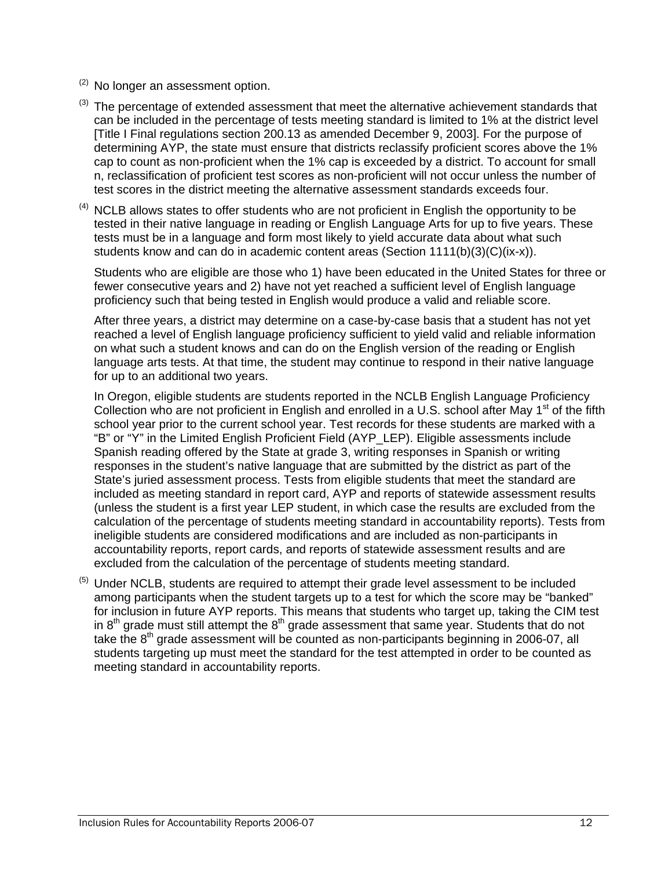- $(2)$  No longer an assessment option.
- $(3)$  The percentage of extended assessment that meet the alternative achievement standards that can be included in the percentage of tests meeting standard is limited to 1% at the district level [Title I Final regulations section 200.13 as amended December 9, 2003]. For the purpose of determining AYP, the state must ensure that districts reclassify proficient scores above the 1% cap to count as non-proficient when the 1% cap is exceeded by a district. To account for small n, reclassification of proficient test scores as non-proficient will not occur unless the number of test scores in the district meeting the alternative assessment standards exceeds four.
- $<sup>(4)</sup>$  NCLB allows states to offer students who are not proficient in English the opportunity to be</sup> tested in their native language in reading or English Language Arts for up to five years. These tests must be in a language and form most likely to yield accurate data about what such students know and can do in academic content areas (Section 1111(b)(3)(C)(ix-x)).

Students who are eligible are those who 1) have been educated in the United States for three or fewer consecutive years and 2) have not yet reached a sufficient level of English language proficiency such that being tested in English would produce a valid and reliable score.

After three years, a district may determine on a case-by-case basis that a student has not yet reached a level of English language proficiency sufficient to yield valid and reliable information on what such a student knows and can do on the English version of the reading or English language arts tests. At that time, the student may continue to respond in their native language for up to an additional two years.

In Oregon, eligible students are students reported in the NCLB English Language Proficiency Collection who are not proficient in English and enrolled in a U.S. school after May 1<sup>st</sup> of the fifth school year prior to the current school year. Test records for these students are marked with a "B" or "Y" in the Limited English Proficient Field (AYP\_LEP). Eligible assessments include Spanish reading offered by the State at grade 3, writing responses in Spanish or writing responses in the student's native language that are submitted by the district as part of the State's juried assessment process. Tests from eligible students that meet the standard are included as meeting standard in report card, AYP and reports of statewide assessment results (unless the student is a first year LEP student, in which case the results are excluded from the calculation of the percentage of students meeting standard in accountability reports). Tests from ineligible students are considered modifications and are included as non-participants in accountability reports, report cards, and reports of statewide assessment results and are excluded from the calculation of the percentage of students meeting standard.

 $<sup>(5)</sup>$  Under NCLB, students are required to attempt their grade level assessment to be included</sup> among participants when the student targets up to a test for which the score may be "banked" for inclusion in future AYP reports. This means that students who target up, taking the CIM test in  $8<sup>th</sup>$  grade must still attempt the  $8<sup>th</sup>$  grade assessment that same year. Students that do not take the  $8<sup>th</sup>$  grade assessment will be counted as non-participants beginning in 2006-07, all students targeting up must meet the standard for the test attempted in order to be counted as meeting standard in accountability reports.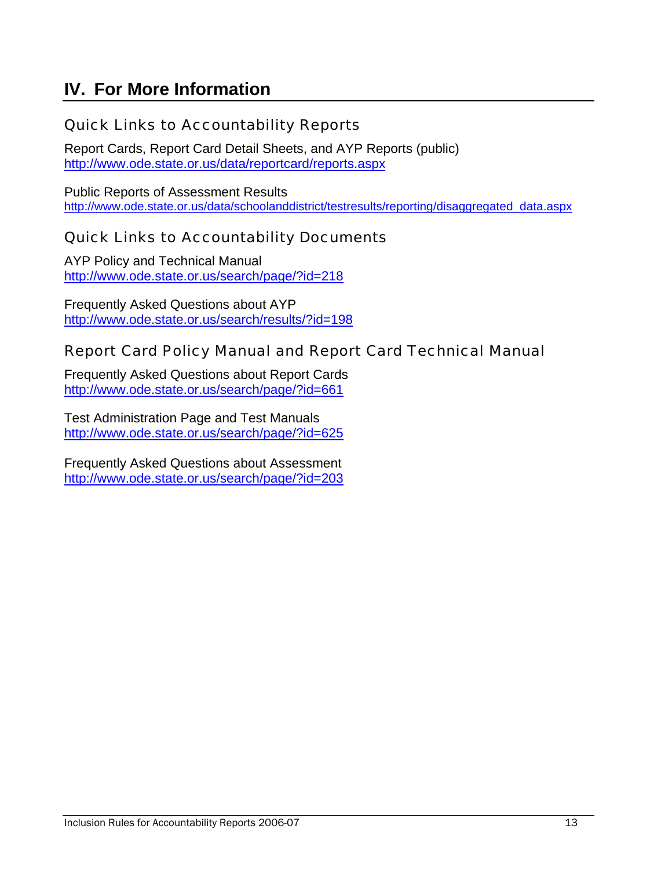# **IV. For More Information**

#### Quick Links to Accountability Reports

Report Cards, Report Card Detail Sheets, and AYP Reports (public) http://www.ode.state.or.us/data/reportcard/reports.aspx

Public Reports of Assessment Results http://www.ode.state.or.us/data/schoolanddistrict/testresults/reporting/disaggregated\_data.aspx

#### Quick Links to Accountability Documents

AYP Policy and Technical Manual http://www.ode.state.or.us/search/page/?id=218

Frequently Asked Questions about AYP http://www.ode.state.or.us/search/results/?id=198

#### Report Card Policy Manual and Report Card Technical Manual

Frequently Asked Questions about Report Cards http://www.ode.state.or.us/search/page/?id=661

Test Administration Page and Test Manuals http://www.ode.state.or.us/search/page/?id=625

Frequently Asked Questions about Assessment http://www.ode.state.or.us/search/page/?id=203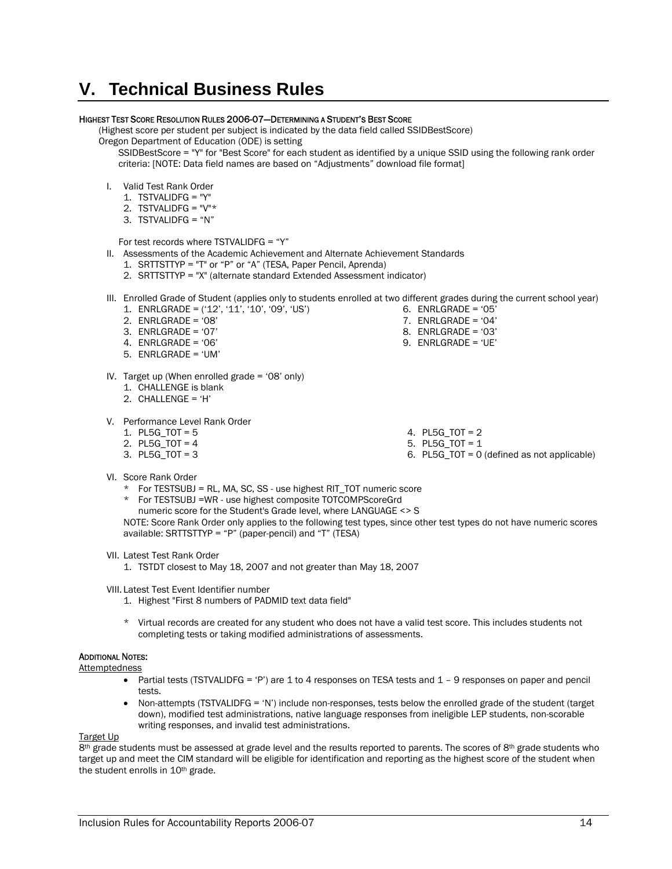# **V. Technical Business Rules**

#### HIGHEST TEST SCORE RESOLUTION RULES 2006-07—DETERMINING A STUDENT'S BEST SCORE

(Highest score per student per subject is indicated by the data field called SSIDBestScore)

Oregon Department of Education (ODE) is setting

SSIDBestScore = "Y" for "Best Score" for each student as identified by a unique SSID using the following rank order criteria: [NOTE: Data field names are based on "Adjustments" download file format]

- I. Valid Test Rank Order
	- 1. TSTVALIDFG = "Y"
	- 2. TSTVALIDFG =  $"V"$ \*
	- 3. TSTVALIDFG = "N"

For test records where TSTVALIDFG = "Y"

- II. Assessments of the Academic Achievement and Alternate Achievement Standards
	- 1. SRTTSTTYP = "T" or "P" or "A" (TESA, Paper Pencil, Aprenda)
	- 2. SRTTSTTYP = "X" (alternate standard Extended Assessment indicator)
- III. Enrolled Grade of Student (applies only to students enrolled at two different grades during the current school year)
	- 1. ENRLGRADE = ('12', '11', '10', '09', 'US')
	- 2. ENRLGRADE = '08'
	- 3. ENRLGRADE = '07'
	- 4. ENRLGRADE = '06'
	- 5. ENRLGRADE = 'UM'
	-
- IV. Target up (When enrolled grade = '08' only)
	- 1. CHALLENGE is blank
	- 2. CHALLENGE = 'H'
- V. Performance Level Rank Order
	- 1. PL5G TOT  $= 5$
	- 2. PL5G TOT =  $4$
	- 3. PL5G\_TOT = 3

4. PL5G\_TOT = 2

6. ENRLGRADE = '05' 7. ENRLGRADE = '04' 8. ENRLGRADE = '03' 9. ENRLGRADE = 'UE'

- 5. PL5G\_TOT = 1
- 6. PL5G\_TOT = 0 (defined as not applicable)

- VI. Score Rank Order
	- \* For TESTSUBJ = RL, MA, SC, SS use highest RIT\_TOT numeric score
	- \* For TESTSUBJ =WR use highest composite TOTCOMPScoreGrd
		- numeric score for the Student's Grade level, where LANGUAGE <> S

NOTE: Score Rank Order only applies to the following test types, since other test types do not have numeric scores available: SRTTSTTYP = "P" (paper-pencil) and "T" (TESA)

VII. Latest Test Rank Order

1. TSTDT closest to May 18, 2007 and not greater than May 18, 2007

VIII. Latest Test Event Identifier number

- 1. Highest "First 8 numbers of PADMID text data field"
- \* Virtual records are created for any student who does not have a valid test score. This includes students not completing tests or taking modified administrations of assessments.

#### ADDITIONAL NOTES:

- Attemptedness
	- Partial tests (TSTVALIDFG = 'P') are 1 to 4 responses on TESA tests and 1 9 responses on paper and pencil tests.
	- Non-attempts (TSTVALIDFG = 'N') include non-responses, tests below the enrolled grade of the student (target down), modified test administrations, native language responses from ineligible LEP students, non-scorable writing responses, and invalid test administrations.

#### Target Up

8<sup>th</sup> grade students must be assessed at grade level and the results reported to parents. The scores of 8<sup>th</sup> grade students who target up and meet the CIM standard will be eligible for identification and reporting as the highest score of the student when the student enrolls in 10<sup>th</sup> grade.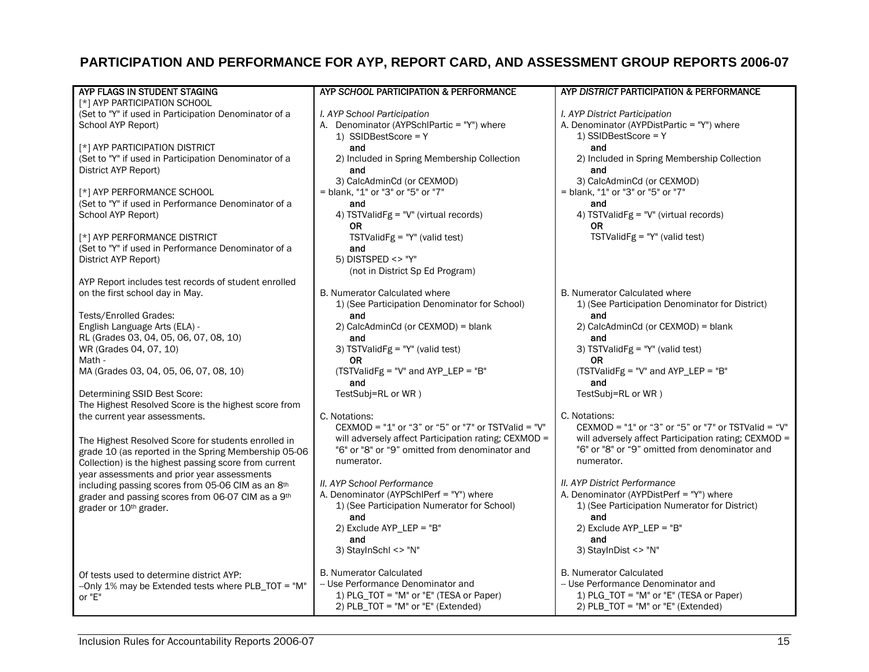#### **PARTICIPATION AND PERFORMANCE FOR AYP, REPORT CARD, AND ASSESSMENT GROUP REPORTS 2006-07**

| AYP DISTRICT PARTICIPATION & PERFORMANCE<br>AYP FLAGS IN STUDENT STAGING<br>AYP SCHOOL PARTICIPATION & PERFORMANCE<br>[*] AYP PARTICIPATION SCHOOL<br>I. AYP School Participation<br>(Set to "Y" if used in Participation Denominator of a<br>I. AYP District Participation<br>School AYP Report)<br>A. Denominator (AYPSchlPartic = "Y") where<br>A. Denominator (AYPDistPartic = "Y") where<br>1) SSIDBestScore = Y<br>1) SSIDBestScore = Y<br>[*] AYP PARTICIPATION DISTRICT<br>and<br>and<br>(Set to "Y" if used in Participation Denominator of a<br>2) Included in Spring Membership Collection<br>2) Included in Spring Membership Collection<br>District AYP Report)<br>and<br>and<br>3) CalcAdminCd (or CEXMOD)<br>3) CalcAdminCd (or CEXMOD)<br>= blank, "1" or "3" or "5" or "7"<br>= blank, "1" or "3" or "5" or "7"<br>[*] AYP PERFORMANCE SCHOOL |
|----------------------------------------------------------------------------------------------------------------------------------------------------------------------------------------------------------------------------------------------------------------------------------------------------------------------------------------------------------------------------------------------------------------------------------------------------------------------------------------------------------------------------------------------------------------------------------------------------------------------------------------------------------------------------------------------------------------------------------------------------------------------------------------------------------------------------------------------------------------|
|                                                                                                                                                                                                                                                                                                                                                                                                                                                                                                                                                                                                                                                                                                                                                                                                                                                                |
|                                                                                                                                                                                                                                                                                                                                                                                                                                                                                                                                                                                                                                                                                                                                                                                                                                                                |
|                                                                                                                                                                                                                                                                                                                                                                                                                                                                                                                                                                                                                                                                                                                                                                                                                                                                |
|                                                                                                                                                                                                                                                                                                                                                                                                                                                                                                                                                                                                                                                                                                                                                                                                                                                                |
|                                                                                                                                                                                                                                                                                                                                                                                                                                                                                                                                                                                                                                                                                                                                                                                                                                                                |
|                                                                                                                                                                                                                                                                                                                                                                                                                                                                                                                                                                                                                                                                                                                                                                                                                                                                |
|                                                                                                                                                                                                                                                                                                                                                                                                                                                                                                                                                                                                                                                                                                                                                                                                                                                                |
|                                                                                                                                                                                                                                                                                                                                                                                                                                                                                                                                                                                                                                                                                                                                                                                                                                                                |
|                                                                                                                                                                                                                                                                                                                                                                                                                                                                                                                                                                                                                                                                                                                                                                                                                                                                |
|                                                                                                                                                                                                                                                                                                                                                                                                                                                                                                                                                                                                                                                                                                                                                                                                                                                                |
| (Set to "Y" if used in Performance Denominator of a<br>and<br>and                                                                                                                                                                                                                                                                                                                                                                                                                                                                                                                                                                                                                                                                                                                                                                                              |
| School AYP Report)<br>4) TSTValidFg = "V" (virtual records)<br>4) TSTValidFg = "V" (virtual records)                                                                                                                                                                                                                                                                                                                                                                                                                                                                                                                                                                                                                                                                                                                                                           |
| 0R<br>OR.                                                                                                                                                                                                                                                                                                                                                                                                                                                                                                                                                                                                                                                                                                                                                                                                                                                      |
| [*] AYP PERFORMANCE DISTRICT<br>TSTValidFg = $"Y"$ (valid test)<br>TSTValidFg = $"Y"$ (valid test)                                                                                                                                                                                                                                                                                                                                                                                                                                                                                                                                                                                                                                                                                                                                                             |
| (Set to "Y" if used in Performance Denominator of a<br>and                                                                                                                                                                                                                                                                                                                                                                                                                                                                                                                                                                                                                                                                                                                                                                                                     |
| District AYP Report)<br>5) DISTSPED <> "Y"                                                                                                                                                                                                                                                                                                                                                                                                                                                                                                                                                                                                                                                                                                                                                                                                                     |
| (not in District Sp Ed Program)                                                                                                                                                                                                                                                                                                                                                                                                                                                                                                                                                                                                                                                                                                                                                                                                                                |
| AYP Report includes test records of student enrolled                                                                                                                                                                                                                                                                                                                                                                                                                                                                                                                                                                                                                                                                                                                                                                                                           |
| B. Numerator Calculated where<br><b>B. Numerator Calculated where</b><br>on the first school day in May.                                                                                                                                                                                                                                                                                                                                                                                                                                                                                                                                                                                                                                                                                                                                                       |
| 1) (See Participation Denominator for District)<br>1) (See Participation Denominator for School)                                                                                                                                                                                                                                                                                                                                                                                                                                                                                                                                                                                                                                                                                                                                                               |
| Tests/Enrolled Grades:<br>and<br>and                                                                                                                                                                                                                                                                                                                                                                                                                                                                                                                                                                                                                                                                                                                                                                                                                           |
| English Language Arts (ELA) -<br>2) CalcAdminCd (or CEXMOD) = blank<br>2) CalcAdminCd (or CEXMOD) = blank                                                                                                                                                                                                                                                                                                                                                                                                                                                                                                                                                                                                                                                                                                                                                      |
| RL (Grades 03, 04, 05, 06, 07, 08, 10)<br>and<br>and                                                                                                                                                                                                                                                                                                                                                                                                                                                                                                                                                                                                                                                                                                                                                                                                           |
| WR (Grades 04, 07, 10)<br>3) TSTValidFg = "Y" (valid test)<br>3) TSTValidFg = "Y" (valid test)                                                                                                                                                                                                                                                                                                                                                                                                                                                                                                                                                                                                                                                                                                                                                                 |
| Math -<br>0R<br>0R                                                                                                                                                                                                                                                                                                                                                                                                                                                                                                                                                                                                                                                                                                                                                                                                                                             |
| (TSTValidFg = "V" and AYP_LEP = "B"<br>(TSTValidFg = "V" and AYP_LEP = "B"<br>MA (Grades 03, 04, 05, 06, 07, 08, 10)                                                                                                                                                                                                                                                                                                                                                                                                                                                                                                                                                                                                                                                                                                                                           |
| and<br>and                                                                                                                                                                                                                                                                                                                                                                                                                                                                                                                                                                                                                                                                                                                                                                                                                                                     |
| Determining SSID Best Score:<br>TestSubj=RL or WR)<br>TestSubj=RL or WR)                                                                                                                                                                                                                                                                                                                                                                                                                                                                                                                                                                                                                                                                                                                                                                                       |
| The Highest Resolved Score is the highest score from                                                                                                                                                                                                                                                                                                                                                                                                                                                                                                                                                                                                                                                                                                                                                                                                           |
| C. Notations:                                                                                                                                                                                                                                                                                                                                                                                                                                                                                                                                                                                                                                                                                                                                                                                                                                                  |
| the current year assessments.<br>C. Notations:<br>CEXMOD = "1" or "3" or "5" or "7" or TSTValid = "V"<br>CEXMOD = "1" or "3" or "5" or "7" or TSTValid = " $V$ "                                                                                                                                                                                                                                                                                                                                                                                                                                                                                                                                                                                                                                                                                               |
|                                                                                                                                                                                                                                                                                                                                                                                                                                                                                                                                                                                                                                                                                                                                                                                                                                                                |
| will adversely affect Participation rating; CEXMOD =<br>will adversely affect Participation rating; CEXMOD =<br>The Highest Resolved Score for students enrolled in                                                                                                                                                                                                                                                                                                                                                                                                                                                                                                                                                                                                                                                                                            |
| "6" or "8" or "9" omitted from denominator and<br>"6" or "8" or "9" omitted from denominator and<br>grade 10 (as reported in the Spring Membership 05-06                                                                                                                                                                                                                                                                                                                                                                                                                                                                                                                                                                                                                                                                                                       |
| numerator.<br>numerator.<br>Collection) is the highest passing score from current                                                                                                                                                                                                                                                                                                                                                                                                                                                                                                                                                                                                                                                                                                                                                                              |
| year assessments and prior year assessments                                                                                                                                                                                                                                                                                                                                                                                                                                                                                                                                                                                                                                                                                                                                                                                                                    |
| II. AYP School Performance<br>II. AYP District Performance<br>including passing scores from 05-06 CIM as an 8th                                                                                                                                                                                                                                                                                                                                                                                                                                                                                                                                                                                                                                                                                                                                                |
| A. Denominator (AYPSchlPerf = "Y") where<br>A. Denominator (AYPDistPerf = "Y") where<br>grader and passing scores from 06-07 CIM as a 9th                                                                                                                                                                                                                                                                                                                                                                                                                                                                                                                                                                                                                                                                                                                      |
| 1) (See Participation Numerator for School)<br>1) (See Participation Numerator for District)<br>grader or 10th grader.                                                                                                                                                                                                                                                                                                                                                                                                                                                                                                                                                                                                                                                                                                                                         |
| and<br>and                                                                                                                                                                                                                                                                                                                                                                                                                                                                                                                                                                                                                                                                                                                                                                                                                                                     |
| 2) Exclude AYP_LEP = "B"<br>2) Exclude AYP_LEP = "B"                                                                                                                                                                                                                                                                                                                                                                                                                                                                                                                                                                                                                                                                                                                                                                                                           |
| and<br>and                                                                                                                                                                                                                                                                                                                                                                                                                                                                                                                                                                                                                                                                                                                                                                                                                                                     |
| 3) StayInSchl <> "N"<br>3) StayInDist <> "N"                                                                                                                                                                                                                                                                                                                                                                                                                                                                                                                                                                                                                                                                                                                                                                                                                   |
| <b>B. Numerator Calculated</b><br><b>B. Numerator Calculated</b>                                                                                                                                                                                                                                                                                                                                                                                                                                                                                                                                                                                                                                                                                                                                                                                               |
| Of tests used to determine district AYP:<br>-- Use Performance Denominator and<br>-- Use Performance Denominator and<br>-- Only 1% may be Extended tests where PLB_TOT = "M"                                                                                                                                                                                                                                                                                                                                                                                                                                                                                                                                                                                                                                                                                   |
| 1) PLG_TOT = "M" or "E" (TESA or Paper)<br>1) PLG_TOT = "M" or "E" (TESA or Paper)<br>or "E"                                                                                                                                                                                                                                                                                                                                                                                                                                                                                                                                                                                                                                                                                                                                                                   |
| 2) PLB_TOT = "M" or "E" (Extended)<br>2) PLB_TOT = "M" or "E" (Extended)                                                                                                                                                                                                                                                                                                                                                                                                                                                                                                                                                                                                                                                                                                                                                                                       |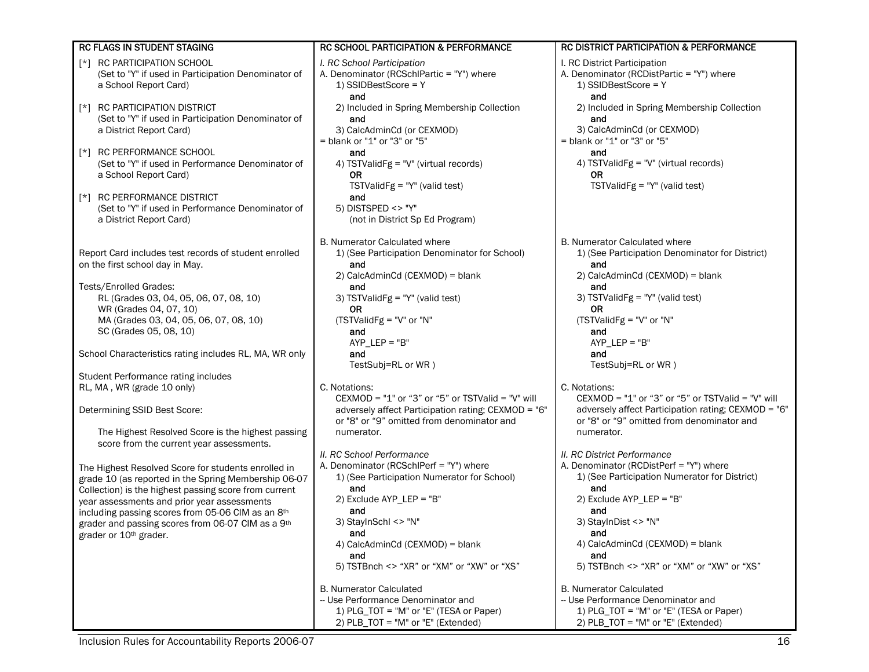| RC FLAGS IN STUDENT STAGING                                                                                                                                          | <b>RC SCHOOL PARTICIPATION &amp; PERFORMANCE</b>                                                                                                        | <b>RC DISTRICT PARTICIPATION &amp; PERFORMANCE</b>                                                                                                      |
|----------------------------------------------------------------------------------------------------------------------------------------------------------------------|---------------------------------------------------------------------------------------------------------------------------------------------------------|---------------------------------------------------------------------------------------------------------------------------------------------------------|
| RC PARTICIPATION SCHOOL<br>[*]<br>(Set to "Y" if used in Participation Denominator of<br>a School Report Card)                                                       | I. RC School Participation<br>A. Denominator (RCSchlPartic = "Y") where<br>1) SSIDBestScore = Y<br>and                                                  | I. RC District Participation<br>A. Denominator (RCDistPartic = "Y") where<br>1) SSIDBestScore = $Y$<br>and                                              |
| <b>RC PARTICIPATION DISTRICT</b><br>$\lceil$ *]<br>(Set to "Y" if used in Participation Denominator of<br>a District Report Card)                                    | 2) Included in Spring Membership Collection<br>and<br>3) CalcAdminCd (or CEXMOD)<br>$=$ blank or "1" or "3" or "5"                                      | 2) Included in Spring Membership Collection<br>and<br>3) CalcAdminCd (or CEXMOD)<br>= blank or "1" or "3" or "5"                                        |
| RC PERFORMANCE SCHOOL<br>$\lceil * \rceil$<br>(Set to "Y" if used in Performance Denominator of<br>a School Report Card)                                             | and<br>4) TSTValidFg = "V" (virtual records)<br><b>OR</b><br>$TSTValidFg = "Y" (valid test)$                                                            | and<br>4) TSTValidFg = "V" (virtual records)<br>0R<br>TSTValidFg = $"Y"$ (valid test)                                                                   |
| <b>RC PERFORMANCE DISTRICT</b><br>$\lceil$ *]<br>(Set to "Y" if used in Performance Denominator of<br>a District Report Card)                                        | and<br>5) DISTSPED <> "Y"<br>(not in District Sp Ed Program)                                                                                            |                                                                                                                                                         |
| Report Card includes test records of student enrolled<br>on the first school day in May.                                                                             | <b>B. Numerator Calculated where</b><br>1) (See Participation Denominator for School)<br>and                                                            | <b>B. Numerator Calculated where</b><br>1) (See Participation Denominator for District)<br>and<br>2) CalcAdminCd (CEXMOD) = blank                       |
| Tests/Enrolled Grades:<br>RL (Grades 03, 04, 05, 06, 07, 08, 10)<br>WR (Grades 04, 07, 10)<br>MA (Grades 03, 04, 05, 06, 07, 08, 10)                                 | 2) CalcAdminCd (CEXMOD) = blank<br>and<br>3) TSTValidFg = "Y" (valid test)<br><b>OR</b><br>(TSTValidFg = "V" or "N"                                     | and<br>3) TSTValidFg = "Y" (valid test)<br>0R<br>(TSTValidFg = "V" or "N"                                                                               |
| SC (Grades 05, 08, 10)<br>School Characteristics rating includes RL, MA, WR only                                                                                     | and<br>$AYP$ _LEP = "B"<br>and                                                                                                                          | and<br>$AYP_{E}EP = "B"$<br>and                                                                                                                         |
| Student Performance rating includes                                                                                                                                  | TestSubj=RL or WR)                                                                                                                                      | TestSubj=RL or WR)                                                                                                                                      |
| RL, MA, WR (grade 10 only)<br>Determining SSID Best Score:                                                                                                           | C. Notations:<br>CEXMOD = "1" or "3" or "5" or TSTValid = "V" will<br>adversely affect Participation rating; CEXMOD = "6"                               | C. Notations:<br>CEXMOD = "1" or "3" or "5" or TSTValid = "V" will<br>adversely affect Participation rating; CEXMOD = "6"                               |
| The Highest Resolved Score is the highest passing                                                                                                                    | or "8" or "9" omitted from denominator and<br>numerator.                                                                                                | or "8" or "9" omitted from denominator and<br>numerator.                                                                                                |
| score from the current year assessments.                                                                                                                             | II. RC School Performance                                                                                                                               | II. RC District Performance                                                                                                                             |
| The Highest Resolved Score for students enrolled in<br>grade 10 (as reported in the Spring Membership 06-07<br>Collection) is the highest passing score from current | A. Denominator (RCSchlPerf = "Y") where<br>1) (See Participation Numerator for School)<br>and                                                           | A. Denominator (RCDistPerf = "Y") where<br>1) (See Participation Numerator for District)<br>and                                                         |
| year assessments and prior year assessments<br>including passing scores from 05-06 CIM as an 8th<br>grader and passing scores from 06-07 CIM as a 9th                | 2) Exclude AYP_LEP = "B"<br>and<br>3) StayInSchl <> "N"                                                                                                 | 2) Exclude AYP_LEP = "B"<br>and<br>3) StayInDist <> "N"                                                                                                 |
| grader or 10 <sup>th</sup> grader.                                                                                                                                   | and<br>4) CalcAdminCd (CEXMOD) = blank<br>and                                                                                                           | and<br>4) CalcAdminCd (CEXMOD) = blank<br>and                                                                                                           |
|                                                                                                                                                                      | 5) TSTBnch <> "XR" or "XM" or "XW" or "XS"                                                                                                              | 5) TSTBnch <> "XR" or "XM" or "XW" or "XS"                                                                                                              |
|                                                                                                                                                                      | <b>B. Numerator Calculated</b><br>-- Use Performance Denominator and<br>1) PLG_TOT = "M" or "E" (TESA or Paper)<br>2) $PLB_TOT = "M" or "E" (Extended)$ | <b>B. Numerator Calculated</b><br>-- Use Performance Denominator and<br>1) PLG_TOT = "M" or "E" (TESA or Paper)<br>2) $PLB_TOT = "M" or "E" (Extended)$ |